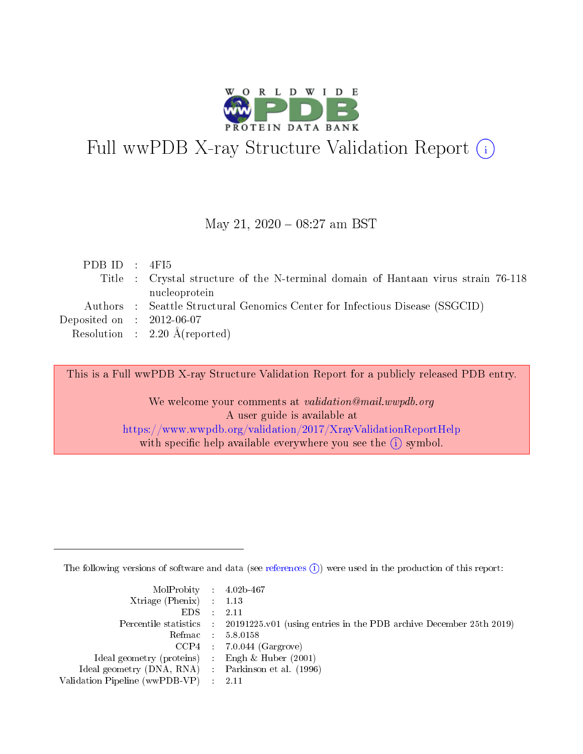

# Full wwPDB X-ray Structure Validation Report (i)

#### May 21, 2020 - 08:27 am BST

| PDBID : 4FI5                |                                                                                   |
|-----------------------------|-----------------------------------------------------------------------------------|
|                             | Title : Crystal structure of the N-terminal domain of Hantaan virus strain 76-118 |
|                             | nucleoprotein                                                                     |
|                             | Authors : Seattle Structural Genomics Center for Infectious Disease (SSGCID)      |
| Deposited on : $2012-06-07$ |                                                                                   |
|                             | Resolution : $2.20 \text{ Å}$ (reported)                                          |
|                             |                                                                                   |

This is a Full wwPDB X-ray Structure Validation Report for a publicly released PDB entry.

We welcome your comments at validation@mail.wwpdb.org A user guide is available at <https://www.wwpdb.org/validation/2017/XrayValidationReportHelp> with specific help available everywhere you see the  $(i)$  symbol.

The following versions of software and data (see [references](https://www.wwpdb.org/validation/2017/XrayValidationReportHelp#references)  $(i)$ ) were used in the production of this report:

| $MolProbability$ 4.02b-467                          |                                                                                            |
|-----------------------------------------------------|--------------------------------------------------------------------------------------------|
| Xtriage (Phenix) $: 1.13$                           |                                                                                            |
| $EDS$ :                                             | -2.11                                                                                      |
|                                                     | Percentile statistics : 20191225.v01 (using entries in the PDB archive December 25th 2019) |
|                                                     | Refmac : 5.8.0158                                                                          |
|                                                     | $CCP4$ : 7.0.044 (Gargrove)                                                                |
| Ideal geometry (proteins) : Engh $\&$ Huber (2001)  |                                                                                            |
| Ideal geometry (DNA, RNA) : Parkinson et al. (1996) |                                                                                            |
| Validation Pipeline (wwPDB-VP)                      | -2.11                                                                                      |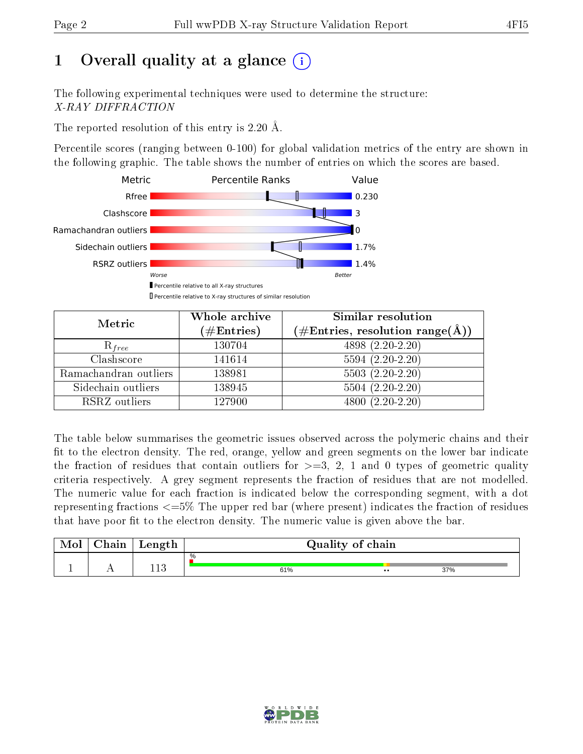# 1 [O](https://www.wwpdb.org/validation/2017/XrayValidationReportHelp#overall_quality)verall quality at a glance  $(i)$

The following experimental techniques were used to determine the structure: X-RAY DIFFRACTION

The reported resolution of this entry is 2.20 Å.

Percentile scores (ranging between 0-100) for global validation metrics of the entry are shown in the following graphic. The table shows the number of entries on which the scores are based.



| Metric                | Whole archive<br>$(\#\text{Entries})$ | Similar resolution<br>$(\#\text{Entries},\,\text{resolution}\,\,\text{range}(\textup{\AA}))$ |
|-----------------------|---------------------------------------|----------------------------------------------------------------------------------------------|
| $R_{free}$            | 130704                                | 4898 (2.20-2.20)                                                                             |
| Clashscore            | 141614                                | $5594(2.20-2.20)$                                                                            |
| Ramachandran outliers | 138981                                | $5503(2.20-2.20)$                                                                            |
| Sidechain outliers    | 138945                                | $5504(2.20-2.20)$                                                                            |
| RSRZ outliers         | 127900                                | $4800(2.20-2.20)$                                                                            |

The table below summarises the geometric issues observed across the polymeric chains and their fit to the electron density. The red, orange, yellow and green segments on the lower bar indicate the fraction of residues that contain outliers for  $>=3, 2, 1$  and 0 types of geometric quality criteria respectively. A grey segment represents the fraction of residues that are not modelled. The numeric value for each fraction is indicated below the corresponding segment, with a dot representing fractions  $\epsilon=5\%$  The upper red bar (where present) indicates the fraction of residues that have poor fit to the electron density. The numeric value is given above the bar.

| Mol       | $\gamma$ hain | Length | Quality of chain |                  |     |  |  |
|-----------|---------------|--------|------------------|------------------|-----|--|--|
| <u>д.</u> | . .           | 119    | %<br>61%         | $\bullet\bullet$ | 37% |  |  |

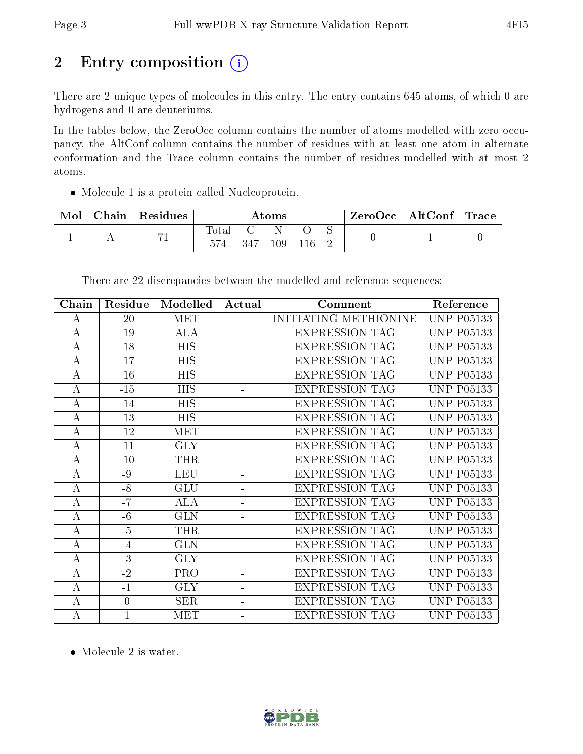# 2 Entry composition (i)

There are 2 unique types of molecules in this entry. The entry contains 645 atoms, of which 0 are hydrogens and 0 are deuteriums.

In the tables below, the ZeroOcc column contains the number of atoms modelled with zero occupancy, the AltConf column contains the number of residues with at least one atom in alternate conformation and the Trace column contains the number of residues modelled with at most 2 atoms.

Molecule 1 is a protein called Nucleoprotein.

| Mol | Chain | $\,^{\shortmid}$ Residues | $\rm\bf Atoms$        |     |         |  |  | $\rm ZeroOcc \mid AltConf \mid Trace$ |  |
|-----|-------|---------------------------|-----------------------|-----|---------|--|--|---------------------------------------|--|
|     |       | 71                        | $\text{Total}$<br>574 | 347 | $109\,$ |  |  |                                       |  |

| Chain            | Residue          | Modelled   | Actual         | Comment               | Reference         |
|------------------|------------------|------------|----------------|-----------------------|-------------------|
| $\bf{A}$         | $-20$            | <b>MET</b> |                | INITIATING METHIONINE | <b>UNP P05133</b> |
| $\boldsymbol{A}$ | $-19$            | <b>ALA</b> |                | <b>EXPRESSION TAG</b> | <b>UNP P05133</b> |
| $\boldsymbol{A}$ | $-18$            | <b>HIS</b> |                | <b>EXPRESSION TAG</b> | <b>UNP P05133</b> |
| А                | $-17$            | <b>HIS</b> |                | <b>EXPRESSION TAG</b> | <b>UNP P05133</b> |
| $\bf{A}$         | $-16$            | <b>HIS</b> |                | <b>EXPRESSION TAG</b> | <b>UNP P05133</b> |
| $\boldsymbol{A}$ | $-15$            | <b>HIS</b> |                | <b>EXPRESSION TAG</b> | <b>UNP P05133</b> |
| $\boldsymbol{A}$ | $-14$            | <b>HIS</b> |                | <b>EXPRESSION TAG</b> | <b>UNP P05133</b> |
| $\boldsymbol{A}$ | $-13$            | <b>HIS</b> |                | <b>EXPRESSION TAG</b> | <b>UNP P05133</b> |
| $\boldsymbol{A}$ | $-12$            | <b>MET</b> |                | <b>EXPRESSION TAG</b> | <b>UNP P05133</b> |
| $\boldsymbol{A}$ | $-11$            | <b>GLY</b> |                | <b>EXPRESSION TAG</b> | <b>UNP P05133</b> |
| $\boldsymbol{A}$ | $-10$            | <b>THR</b> |                | <b>EXPRESSION TAG</b> | <b>UNP P05133</b> |
| $\boldsymbol{A}$ | -9               | <b>LEU</b> |                | <b>EXPRESSION TAG</b> | <b>UNP P05133</b> |
| $\bf{A}$         | $-8$             | GLU        |                | <b>EXPRESSION TAG</b> | <b>UNP P05133</b> |
| $\boldsymbol{A}$ | $-7$             | <b>ALA</b> |                | <b>EXPRESSION TAG</b> | <b>UNP P05133</b> |
| $\boldsymbol{A}$ | $-6$             | <b>GLN</b> |                | <b>EXPRESSION TAG</b> | <b>UNP P05133</b> |
| $\boldsymbol{A}$ | $-5$             | <b>THR</b> |                | <b>EXPRESSION TAG</b> | <b>UNP P05133</b> |
| $\bf{A}$         | $-4$             | <b>GLN</b> |                | <b>EXPRESSION TAG</b> | <b>UNP P05133</b> |
| А                | $-3$             | <b>GLY</b> |                | <b>EXPRESSION TAG</b> | <b>UNP P05133</b> |
| $\boldsymbol{A}$ | $-2$             | PRO        |                | <b>EXPRESSION TAG</b> | <b>UNP P05133</b> |
| $\boldsymbol{A}$ | $-1$             | <b>GLY</b> |                | <b>EXPRESSION TAG</b> | <b>UNP P05133</b> |
| $\bf{A}$         | $\boldsymbol{0}$ | <b>SER</b> | $\blacksquare$ | <b>EXPRESSION TAG</b> | <b>UNP P05133</b> |
| $\bf{A}$         | $\mathbf{1}$     | <b>MET</b> |                | <b>EXPRESSION TAG</b> | <b>UNP P05133</b> |

There are 22 discrepancies between the modelled and reference sequences:

• Molecule 2 is water.

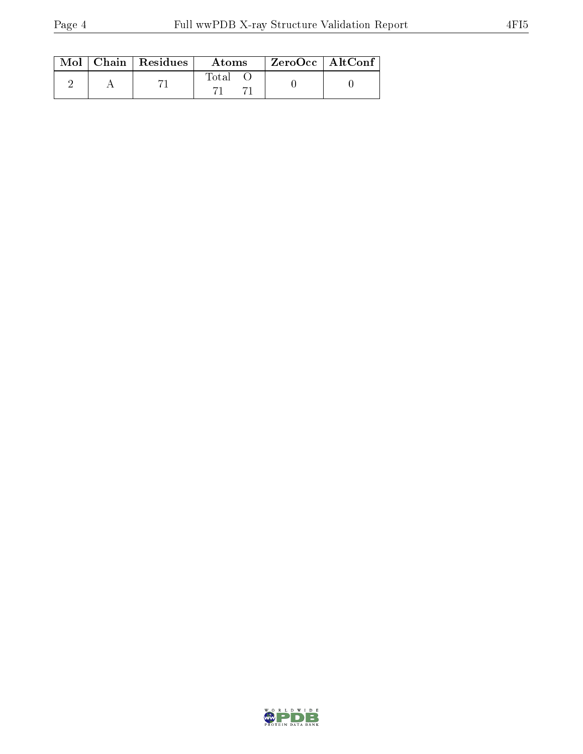|  | $\text{Mol}$   Chain   Residues | Atoms | $ZeroOcc \mid AltConf \mid$ |  |
|--|---------------------------------|-------|-----------------------------|--|
|  |                                 | Total |                             |  |

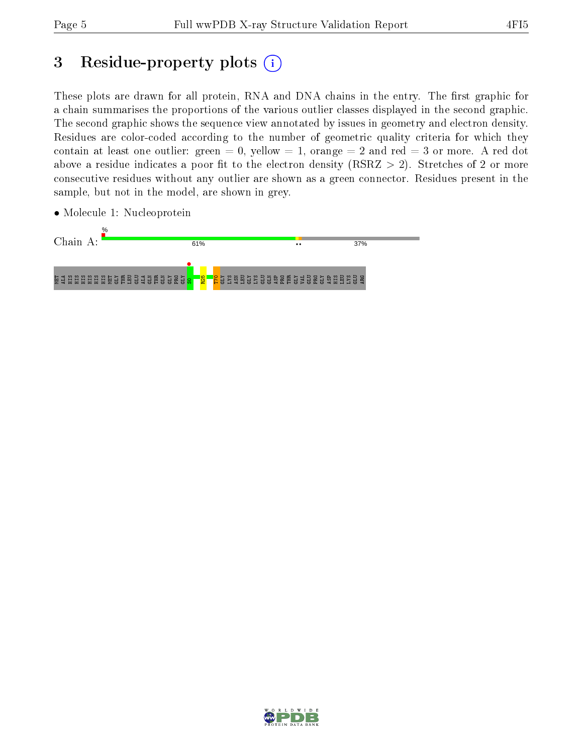# 3 Residue-property plots (i)

These plots are drawn for all protein, RNA and DNA chains in the entry. The first graphic for a chain summarises the proportions of the various outlier classes displayed in the second graphic. The second graphic shows the sequence view annotated by issues in geometry and electron density. Residues are color-coded according to the number of geometric quality criteria for which they contain at least one outlier: green  $= 0$ , yellow  $= 1$ , orange  $= 2$  and red  $= 3$  or more. A red dot above a residue indicates a poor fit to the electron density (RSRZ  $> 2$ ). Stretches of 2 or more consecutive residues without any outlier are shown as a green connector. Residues present in the sample, but not in the model, are shown in grey.

• Molecule 1: Nucleoprotein



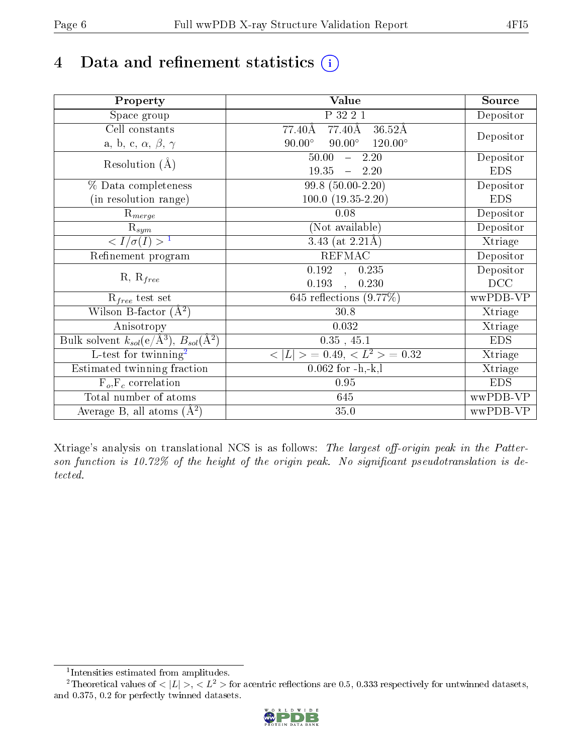# 4 Data and refinement statistics  $(i)$

| Property                                                             | Value                                            | Source     |
|----------------------------------------------------------------------|--------------------------------------------------|------------|
| Space group                                                          | P 32 2 1                                         | Depositor  |
| Cell constants                                                       | 77.40Å<br>77.40Å<br>$36.52\text{\AA}$            |            |
| a, b, c, $\alpha$ , $\beta$ , $\gamma$                               | $90.00^\circ$<br>$90.00^\circ$<br>$120.00^\circ$ | Depositor  |
| Resolution $(A)$                                                     | 50.00<br>$-2.20$                                 | Depositor  |
|                                                                      | 19.35<br>$-2.20$                                 | <b>EDS</b> |
| % Data completeness                                                  | $99.8(50.00-2.20)$                               | Depositor  |
| (in resolution range)                                                | $100.0 (19.35 - 2.20)$                           | <b>EDS</b> |
| $R_{merge}$                                                          | 0.08                                             | Depositor  |
| $\mathrm{R}_{sym}$                                                   | (Not available)                                  | Depositor  |
| $\langle I/\sigma(I) \rangle$ <sup>1</sup>                           | 3.43 (at $2.21\text{\AA}$ )                      | Xtriage    |
| Refinement program                                                   | <b>REFMAC</b>                                    | Depositor  |
|                                                                      | $\overline{0.192}$ ,<br>0.235                    | Depositor  |
| $R, R_{free}$                                                        | 0.193<br>0.230                                   | DCC        |
| $\mathcal{R}_{free}$ test set                                        | 645 reflections $(9.77%)$                        | wwPDB-VP   |
| Wilson B-factor $(A^2)$                                              | 30.8                                             | Xtriage    |
| Anisotropy                                                           | 0.032                                            | Xtriage    |
| Bulk solvent $k_{sol}(e/\mathring{A}^3)$ , $B_{sol}(\mathring{A}^2)$ | $0.35$ , 45.1                                    | <b>EDS</b> |
| L-test for twinning <sup>2</sup>                                     | $< L >$ = 0.49, $< L2$ > = 0.32                  | Xtriage    |
| Estimated twinning fraction                                          | $0.062$ for $-h,-k,l$                            | Xtriage    |
| $F_o, F_c$ correlation                                               | 0.95                                             | <b>EDS</b> |
| Total number of atoms                                                | 645                                              | wwPDB-VP   |
| Average B, all atoms $(A^2)$                                         | 35.0                                             | wwPDB-VP   |

Xtriage's analysis on translational NCS is as follows: The largest off-origin peak in the Patterson function is 10.72% of the height of the origin peak. No significant pseudotranslation is detected.

<sup>&</sup>lt;sup>2</sup>Theoretical values of  $\langle |L| \rangle$ ,  $\langle L^2 \rangle$  for acentric reflections are 0.5, 0.333 respectively for untwinned datasets, and 0.375, 0.2 for perfectly twinned datasets.



<span id="page-5-1"></span><span id="page-5-0"></span><sup>1</sup> Intensities estimated from amplitudes.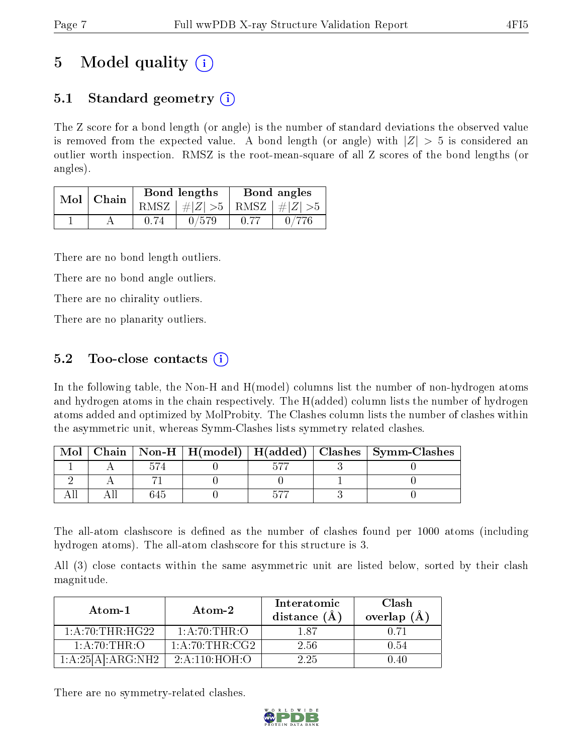# 5 Model quality  $(i)$

# 5.1 Standard geometry  $(i)$

The Z score for a bond length (or angle) is the number of standard deviations the observed value is removed from the expected value. A bond length (or angle) with  $|Z| > 5$  is considered an outlier worth inspection. RMSZ is the root-mean-square of all Z scores of the bond lengths (or angles).

| Mol | Chain |      | <b>Bond lengths</b>            | Bond angles |  |  |
|-----|-------|------|--------------------------------|-------------|--|--|
|     |       | RMSZ | $\# Z  > 5$ RMSZ $  \# Z  > 5$ |             |  |  |
|     |       |      | 0/579                          |             |  |  |

There are no bond length outliers.

There are no bond angle outliers.

There are no chirality outliers.

There are no planarity outliers.

### 5.2 Too-close contacts  $\overline{()}$

In the following table, the Non-H and H(model) columns list the number of non-hydrogen atoms and hydrogen atoms in the chain respectively. The H(added) column lists the number of hydrogen atoms added and optimized by MolProbity. The Clashes column lists the number of clashes within the asymmetric unit, whereas Symm-Clashes lists symmetry related clashes.

| Mol |  |  | Chain   Non-H   H(model)   H(added)   Clashes   Symm-Clashes |
|-----|--|--|--------------------------------------------------------------|
|     |  |  |                                                              |
|     |  |  |                                                              |
|     |  |  |                                                              |

The all-atom clashscore is defined as the number of clashes found per 1000 atoms (including hydrogen atoms). The all-atom clashscore for this structure is 3.

All (3) close contacts within the same asymmetric unit are listed below, sorted by their clash magnitude.

| Atom-1            | Atom-2           | Interatomic<br>distance $(\AA)$ | Clash<br>overlap $(\AA)$ |  |
|-------------------|------------------|---------------------------------|--------------------------|--|
| 1: A:70:THR:HG22  | 1: A:70:THR:O    | 187                             | O 71                     |  |
| 1: A:70:THR:O     | 1: A:70:THR:CG2  | 2.56                            | 0.54                     |  |
| 1:A:25[A]:ARG:NH2 | 2: A: 110:HOH: O | 2.25                            | () 4()                   |  |

There are no symmetry-related clashes.

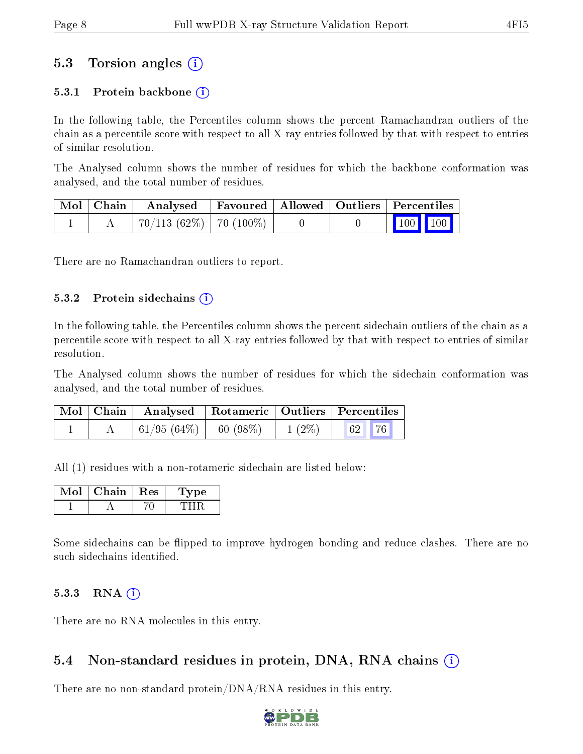### 5.3 Torsion angles (i)

#### 5.3.1 Protein backbone  $(i)$

In the following table, the Percentiles column shows the percent Ramachandran outliers of the chain as a percentile score with respect to all X-ray entries followed by that with respect to entries of similar resolution.

The Analysed column shows the number of residues for which the backbone conformation was analysed, and the total number of residues.

|  | Mol   Chain   Analysed   Favoured   Allowed   Outliers   Percentiles |  |                 |
|--|----------------------------------------------------------------------|--|-----------------|
|  | $+70/113(62\%)$   70 (100\%)                                         |  | $\vert$ 100 100 |

There are no Ramachandran outliers to report.

#### $5.3.2$  Protein sidechains  $(i)$

In the following table, the Percentiles column shows the percent sidechain outliers of the chain as a percentile score with respect to all X-ray entries followed by that with respect to entries of similar resolution.

The Analysed column shows the number of residues for which the sidechain conformation was analysed, and the total number of residues.

|  | Mol   Chain   Analysed   Rotameric   Outliers   Percentiles |         |                |
|--|-------------------------------------------------------------|---------|----------------|
|  | $ 61/95(64\%) $                                             | 60(98%) | $1(2\%)$ 62 76 |

All (1) residues with a non-rotameric sidechain are listed below:

| lot | Chain | $\operatorname{Res}% \left( \mathcal{N}\right) \equiv\operatorname{Res}(\mathcal{N}_{0},\mathcal{N}_{0})$ | vpe |
|-----|-------|-----------------------------------------------------------------------------------------------------------|-----|
|     |       |                                                                                                           |     |

Some sidechains can be flipped to improve hydrogen bonding and reduce clashes. There are no such sidechains identified.

#### 5.3.3 RNA (i)

There are no RNA molecules in this entry.

#### 5.4 Non-standard residues in protein, DNA, RNA chains (i)

There are no non-standard protein/DNA/RNA residues in this entry.

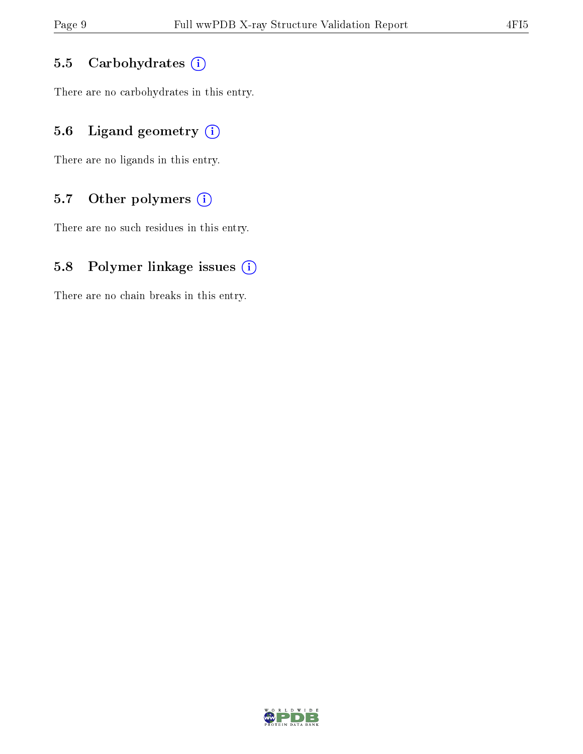#### 5.5 Carbohydrates  $(i)$

There are no carbohydrates in this entry.

### 5.6 Ligand geometry  $(i)$

There are no ligands in this entry.

### 5.7 [O](https://www.wwpdb.org/validation/2017/XrayValidationReportHelp#nonstandard_residues_and_ligands)ther polymers  $(i)$

There are no such residues in this entry.

### 5.8 Polymer linkage issues  $(i)$

There are no chain breaks in this entry.